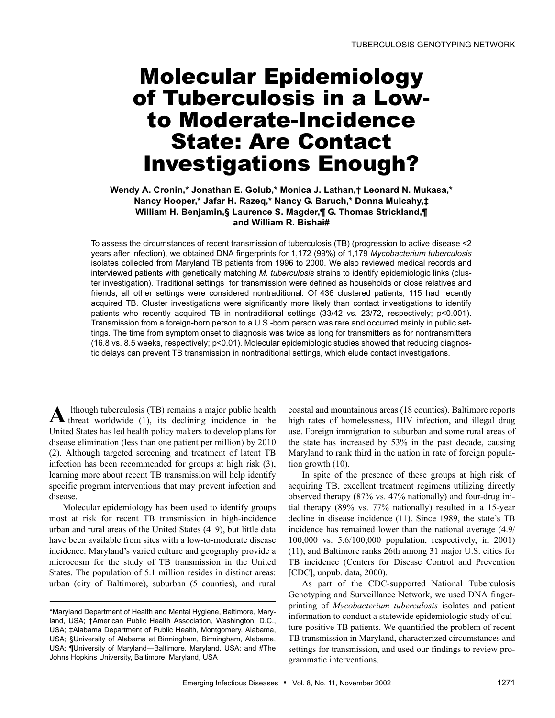# Molecular Epidemiology of Tuberculosis in a Lowto Moderate-Incidence State: Are Contact Investigations Enough?

# **Wendy A. Cronin,\* Jonathan E. Golub,\* Monica J. Lathan,† Leonard N. Mukasa,\* Nancy Hooper,\* Jafar H. Razeq,\* Nancy G. Baruch,\* Donna Mulcahy,‡ William H. Benjamin,§ Laurence S. Magder,¶ G. Thomas Strickland,¶ and William R. Bishai#**

To assess the circumstances of recent transmission of tuberculosis (TB) (progression to active disease  $\leq$ 2 years after infection), we obtained DNA fingerprints for 1,172 (99%) of 1,179 *Mycobacterium tuberculosis* isolates collected from Maryland TB patients from 1996 to 2000. We also reviewed medical records and interviewed patients with genetically matching *M. tuberculosis* strains to identify epidemiologic links (cluster investigation). Traditional settings for transmission were defined as households or close relatives and friends; all other settings were considered nontraditional. Of 436 clustered patients, 115 had recently acquired TB. Cluster investigations were significantly more likely than contact investigations to identify patients who recently acquired TB in nontraditional settings (33/42 vs. 23/72, respectively; p<0.001). Transmission from a foreign-born person to a U.S.-born person was rare and occurred mainly in public settings. The time from symptom onset to diagnosis was twice as long for transmitters as for nontransmitters (16.8 vs. 8.5 weeks, respectively; p<0.01). Molecular epidemiologic studies showed that reducing diagnostic delays can prevent TB transmission in nontraditional settings, which elude contact investigations.

 lthough tuberculosis (TB) remains a major public health **A** lthough tuberculosis (TB) remains a major public health threat worldwide (1), its declining incidence in the United States has led health policy makers to develop plans for disease elimination (less than one patient per million) by 2010 (2). Although targeted screening and treatment of latent TB infection has been recommended for groups at high risk (3), learning more about recent TB transmission will help identify specific program interventions that may prevent infection and disease.

Molecular epidemiology has been used to identify groups most at risk for recent TB transmission in high-incidence urban and rural areas of the United States (4–9), but little data have been available from sites with a low-to-moderate disease incidence. Maryland's varied culture and geography provide a microcosm for the study of TB transmission in the United States. The population of 5.1 million resides in distinct areas: urban (city of Baltimore), suburban (5 counties), and rural coastal and mountainous areas (18 counties). Baltimore reports high rates of homelessness, HIV infection, and illegal drug use. Foreign immigration to suburban and some rural areas of the state has increased by 53% in the past decade, causing Maryland to rank third in the nation in rate of foreign population growth (10).

In spite of the presence of these groups at high risk of acquiring TB, excellent treatment regimens utilizing directly observed therapy (87% vs. 47% nationally) and four-drug initial therapy (89% vs. 77% nationally) resulted in a 15-year decline in disease incidence (11). Since 1989, the state's TB incidence has remained lower than the national average (4.9/ 100,000 vs. 5.6/100,000 population, respectively, in 2001) (11), and Baltimore ranks 26th among 31 major U.S. cities for TB incidence (Centers for Disease Control and Prevention [CDC], unpub. data, 2000).

As part of the CDC-supported National Tuberculosis Genotyping and Surveillance Network, we used DNA fingerprinting of *Mycobacterium tuberculosis* isolates and patient information to conduct a statewide epidemiologic study of culture-positive TB patients. We quantified the problem of recent TB transmission in Maryland, characterized circumstances and settings for transmission, and used our findings to review programmatic interventions.

<sup>\*</sup>Maryland Department of Health and Mental Hygiene, Baltimore, Maryland, USA; †American Public Health Association, Washington, D.C., USA; ‡Alabama Department of Public Health, Montgomery, Alabama, USA; §University of Alabama at Birmingham, Birmingham, Alabama, USA; ¶University of Maryland—Baltimore, Maryland, USA; and #The Johns Hopkins University, Baltimore, Maryland, USA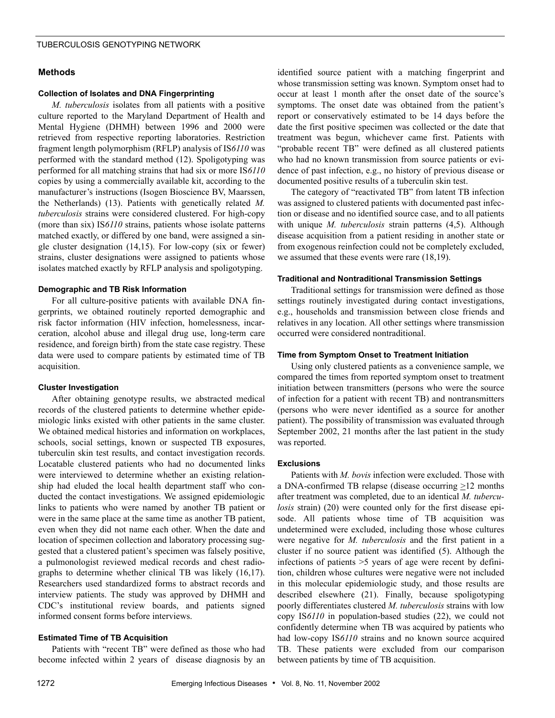# **Methods**

### **Collection of Isolates and DNA Fingerprinting**

*M. tuberculosis* isolates from all patients with a positive culture reported to the Maryland Department of Health and Mental Hygiene (DHMH) between 1996 and 2000 were retrieved from respective reporting laboratories. Restriction fragment length polymorphism (RFLP) analysis of IS*6110* was performed with the standard method (12). Spoligotyping was performed for all matching strains that had six or more IS*6110* copies by using a commercially available kit, according to the manufacturer's instructions (Isogen Bioscience BV, Maarssen, the Netherlands) (13). Patients with genetically related *M. tuberculosis* strains were considered clustered. For high-copy (more than six) IS*6110* strains, patients whose isolate patterns matched exactly, or differed by one band, were assigned a single cluster designation (14,15). For low-copy (six or fewer) strains, cluster designations were assigned to patients whose isolates matched exactly by RFLP analysis and spoligotyping.

### **Demographic and TB Risk Information**

For all culture-positive patients with available DNA fingerprints, we obtained routinely reported demographic and risk factor information (HIV infection, homelessness, incarceration, alcohol abuse and illegal drug use, long-term care residence, and foreign birth) from the state case registry. These data were used to compare patients by estimated time of TB acquisition.

#### **Cluster Investigation**

After obtaining genotype results, we abstracted medical records of the clustered patients to determine whether epidemiologic links existed with other patients in the same cluster. We obtained medical histories and information on workplaces, schools, social settings, known or suspected TB exposures, tuberculin skin test results, and contact investigation records. Locatable clustered patients who had no documented links were interviewed to determine whether an existing relationship had eluded the local health department staff who conducted the contact investigations. We assigned epidemiologic links to patients who were named by another TB patient or were in the same place at the same time as another TB patient, even when they did not name each other. When the date and location of specimen collection and laboratory processing suggested that a clustered patient's specimen was falsely positive, a pulmonologist reviewed medical records and chest radiographs to determine whether clinical TB was likely (16,17). Researchers used standardized forms to abstract records and interview patients. The study was approved by DHMH and CDC's institutional review boards, and patients signed informed consent forms before interviews.

### **Estimated Time of TB Acquisition**

Patients with "recent TB" were defined as those who had become infected within 2 years of disease diagnosis by an identified source patient with a matching fingerprint and whose transmission setting was known. Symptom onset had to occur at least 1 month after the onset date of the source's symptoms. The onset date was obtained from the patient's report or conservatively estimated to be 14 days before the date the first positive specimen was collected or the date that treatment was begun, whichever came first. Patients with "probable recent TB" were defined as all clustered patients who had no known transmission from source patients or evidence of past infection, e.g., no history of previous disease or documented positive results of a tuberculin skin test.

The category of "reactivated TB" from latent TB infection was assigned to clustered patients with documented past infection or disease and no identified source case, and to all patients with unique *M. tuberculosis* strain patterns (4,5). Although disease acquisition from a patient residing in another state or from exogenous reinfection could not be completely excluded, we assumed that these events were rare (18,19).

# **Traditional and Nontraditional Transmission Settings**

Traditional settings for transmission were defined as those settings routinely investigated during contact investigations, e.g., households and transmission between close friends and relatives in any location. All other settings where transmission occurred were considered nontraditional.

#### **Time from Symptom Onset to Treatment Initiation**

Using only clustered patients as a convenience sample, we compared the times from reported symptom onset to treatment initiation between transmitters (persons who were the source of infection for a patient with recent TB) and nontransmitters (persons who were never identified as a source for another patient). The possibility of transmission was evaluated through September 2002, 21 months after the last patient in the study was reported.

#### **Exclusions**

Patients with *M. bovis* infection were excluded. Those with a DNA-confirmed TB relapse (disease occurring >12 months after treatment was completed, due to an identical *M. tuberculosis* strain) (20) were counted only for the first disease episode. All patients whose time of TB acquisition was undetermined were excluded, including those whose cultures were negative for *M. tuberculosis* and the first patient in a cluster if no source patient was identified (5). Although the infections of patients >5 years of age were recent by definition, children whose cultures were negative were not included in this molecular epidemiologic study, and those results are described elsewhere (21). Finally, because spoligotyping poorly differentiates clustered *M. tuberculosis* strains with low copy IS*6110* in population-based studies (22), we could not confidently determine when TB was acquired by patients who had low-copy IS*6110* strains and no known source acquired TB. These patients were excluded from our comparison between patients by time of TB acquisition.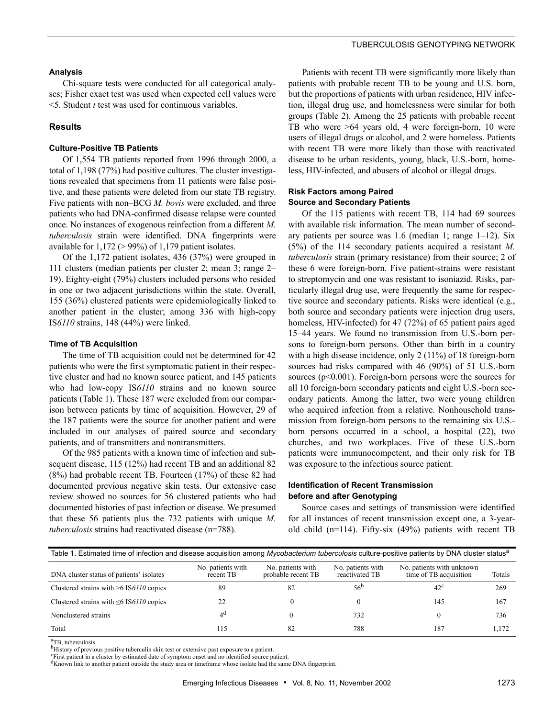### **Analysis**

Chi-square tests were conducted for all categorical analyses; Fisher exact test was used when expected cell values were <5. Student *t* test was used for continuous variables.

#### **Results**

#### **Culture-Positive TB Patients**

Of 1,554 TB patients reported from 1996 through 2000, a total of 1,198 (77%) had positive cultures. The cluster investigations revealed that specimens from 11 patients were false positive, and these patients were deleted from our state TB registry. Five patients with non–BCG *M. bovis* were excluded, and three patients who had DNA-confirmed disease relapse were counted once. No instances of exogenous reinfection from a different *M. tuberculosis* strain were identified. DNA fingerprints were available for  $1,172$  ( $> 99\%$ ) of 1,179 patient isolates.

Of the 1,172 patient isolates, 436 (37%) were grouped in 111 clusters (median patients per cluster 2; mean 3; range 2– 19). Eighty-eight (79%) clusters included persons who resided in one or two adjacent jurisdictions within the state. Overall, 155 (36%) clustered patients were epidemiologically linked to another patient in the cluster; among 336 with high-copy IS*6110* strains, 148 (44%) were linked.

#### **Time of TB Acquisition**

The time of TB acquisition could not be determined for 42 patients who were the first symptomatic patient in their respective cluster and had no known source patient, and 145 patients who had low-copy IS*6110* strains and no known source patients (Table 1). These 187 were excluded from our comparison between patients by time of acquisition. However, 29 of the 187 patients were the source for another patient and were included in our analyses of paired source and secondary patients, and of transmitters and nontransmitters.

Of the 985 patients with a known time of infection and subsequent disease, 115 (12%) had recent TB and an additional 82 (8%) had probable recent TB. Fourteen (17%) of these 82 had documented previous negative skin tests. Our extensive case review showed no sources for 56 clustered patients who had documented histories of past infection or disease. We presumed that these 56 patients plus the 732 patients with unique *M. tuberculosis* strains had reactivated disease (n=788).

Patients with recent TB were significantly more likely than patients with probable recent TB to be young and U.S. born, but the proportions of patients with urban residence, HIV infection, illegal drug use, and homelessness were similar for both groups (Table 2). Among the 25 patients with probable recent TB who were >64 years old, 4 were foreign-born, 10 were users of illegal drugs or alcohol, and 2 were homeless. Patients with recent TB were more likely than those with reactivated disease to be urban residents, young, black, U.S.-born, homeless, HIV-infected, and abusers of alcohol or illegal drugs.

#### **Risk Factors among Paired Source and Secondary Patients**

Of the 115 patients with recent TB, 114 had 69 sources with available risk information. The mean number of secondary patients per source was 1.6 (median 1; range 1–12). Six (5%) of the 114 secondary patients acquired a resistant *M. tuberculosis* strain (primary resistance) from their source; 2 of these 6 were foreign-born. Five patient-strains were resistant to streptomycin and one was resistant to isoniazid. Risks, particularly illegal drug use, were frequently the same for respective source and secondary patients. Risks were identical (e.g., both source and secondary patients were injection drug users, homeless, HIV-infected) for 47 (72%) of 65 patient pairs aged 15–44 years. We found no transmission from U.S.-born persons to foreign-born persons. Other than birth in a country with a high disease incidence, only 2 (11%) of 18 foreign-born sources had risks compared with 46 (90%) of 51 U.S.-born sources (p<0.001). Foreign-born persons were the sources for all 10 foreign-born secondary patients and eight U.S.-born secondary patients. Among the latter, two were young children who acquired infection from a relative. Nonhousehold transmission from foreign-born persons to the remaining six U.S. born persons occurred in a school, a hospital (22), two churches, and two workplaces. Five of these U.S.-born patients were immunocompetent, and their only risk for TB was exposure to the infectious source patient.

### **Identification of Recent Transmission before and after Genotyping**

Source cases and settings of transmission were identified for all instances of recent transmission except one, a 3-yearold child (n=114). Fifty-six (49%) patients with recent TB

| Table 1. Estimated time of infection and disease acquisition among Mycobacterium tuberculosis culture-positive patients by DNA cluster status <sup>a</sup> |                                |                                         |                                     |                                                     |        |
|------------------------------------------------------------------------------------------------------------------------------------------------------------|--------------------------------|-----------------------------------------|-------------------------------------|-----------------------------------------------------|--------|
| DNA cluster status of patients' isolates                                                                                                                   | No. patients with<br>recent TB | No. patients with<br>probable recent TB | No. patients with<br>reactivated TB | No. patients with unknown<br>time of TB acquisition | Totals |
| Clustered strains with $\geq 6$ IS6110 copies                                                                                                              | 89                             | 82                                      | .56 <sup>c</sup>                    | $42^{\circ}$                                        | 269    |
| Clustered strains with $\leq 6$ IS6110 copies                                                                                                              | 22                             |                                         |                                     | 145                                                 | 167    |
| Nonclustered strains                                                                                                                                       | 4ª                             |                                         | 732                                 |                                                     | 736    |
| Total                                                                                                                                                      | 115                            | 82                                      | 788                                 | 187                                                 | 1.172  |

<sup>a</sup>TB, tuberculosis.

bHistory of previous positive tuberculin skin test or extensive past exposure to a patient.

<sup>c</sup>First patient in a cluster by estimated date of symptom onset and no identified source patient.

<sup>d</sup>Known link to another patient outside the study area or timeframe whose isolate had the same DNA fingerprint.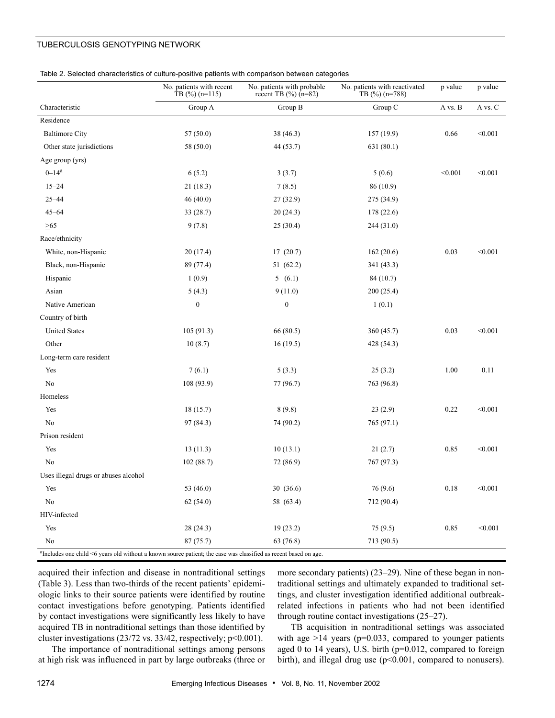| Table 2. Selected characteristics of culture-positive patients with comparison between categories |  |  |  |
|---------------------------------------------------------------------------------------------------|--|--|--|
|                                                                                                   |  |  |  |

|                                                                                                                          | No. patients with recent<br>$\text{TB}$ (%) (n=115) | No. patients with probable<br>recent TB $(\%)(n=82)$ | No. patients with reactivated<br>TB $(\%)(n=788)$ | p value  | p value |
|--------------------------------------------------------------------------------------------------------------------------|-----------------------------------------------------|------------------------------------------------------|---------------------------------------------------|----------|---------|
| Characteristic                                                                                                           | Group A                                             | Group B                                              | Group C                                           | A vs. B  | A vs. C |
| Residence                                                                                                                |                                                     |                                                      |                                                   |          |         |
| <b>Baltimore City</b>                                                                                                    | 57(50.0)                                            | 38(46.3)                                             | 157(19.9)                                         | 0.66     | < 0.001 |
| Other state jurisdictions                                                                                                | 58 (50.0)                                           | 44 (53.7)                                            | 631 (80.1)                                        |          |         |
| Age group (yrs)                                                                                                          |                                                     |                                                      |                                                   |          |         |
| $0 - 14^a$                                                                                                               | 6(5.2)                                              | 3(3.7)                                               | 5(0.6)                                            | < 0.001  | < 0.001 |
| $15 - 24$                                                                                                                | 21(18.3)                                            | 7(8.5)                                               | 86 (10.9)                                         |          |         |
| $25 - 44$                                                                                                                | 46(40.0)                                            | 27(32.9)                                             | 275 (34.9)                                        |          |         |
| $45 - 64$                                                                                                                | 33(28.7)                                            | 20(24.3)                                             | 178(22.6)                                         |          |         |
| $\geq 65$                                                                                                                | 9(7.8)                                              | 25(30.4)                                             | 244(31.0)                                         |          |         |
| Race/ethnicity                                                                                                           |                                                     |                                                      |                                                   |          |         |
| White, non-Hispanic                                                                                                      | 20(17.4)                                            | 17(20.7)                                             | 162(20.6)                                         | 0.03     | < 0.001 |
| Black, non-Hispanic                                                                                                      | 89 (77.4)                                           | 51 (62.2)                                            | 341 (43.3)                                        |          |         |
| Hispanic                                                                                                                 | 1(0.9)                                              | 5(6.1)                                               | 84 (10.7)                                         |          |         |
| Asian                                                                                                                    | 5(4.3)                                              | 9(11.0)                                              | 200(25.4)                                         |          |         |
| Native American                                                                                                          | $\boldsymbol{0}$                                    | $\boldsymbol{0}$                                     | 1(0.1)                                            |          |         |
| Country of birth                                                                                                         |                                                     |                                                      |                                                   |          |         |
| <b>United States</b>                                                                                                     | 105(91.3)                                           | 66(80.5)                                             | 360(45.7)                                         | 0.03     | < 0.001 |
| Other                                                                                                                    | 10(8.7)                                             | 16(19.5)                                             | 428 (54.3)                                        |          |         |
| Long-term care resident                                                                                                  |                                                     |                                                      |                                                   |          |         |
| Yes                                                                                                                      | 7(6.1)                                              | 5(3.3)                                               | 25(3.2)                                           | 1.00     | 0.11    |
| N <sub>0</sub>                                                                                                           | 108 (93.9)                                          | 77 (96.7)                                            | 763 (96.8)                                        |          |         |
| Homeless                                                                                                                 |                                                     |                                                      |                                                   |          |         |
| Yes                                                                                                                      | 18(15.7)                                            | 8(9.8)                                               | 23(2.9)                                           | 0.22     | < 0.001 |
| No                                                                                                                       | 97 (84.3)                                           | 74 (90.2)                                            | 765 (97.1)                                        |          |         |
| Prison resident                                                                                                          |                                                     |                                                      |                                                   |          |         |
| Yes                                                                                                                      | 13(11.3)                                            | 10(13.1)                                             | 21(2.7)                                           | 0.85     | < 0.001 |
| No                                                                                                                       | 102(88.7)                                           | 72 (86.9)                                            | 767 (97.3)                                        |          |         |
| Uses illegal drugs or abuses alcohol                                                                                     |                                                     |                                                      |                                                   |          |         |
| Yes                                                                                                                      | 53 (46.0)                                           | 30 (36.6)                                            | 76 (9.6)                                          | $0.18\,$ | < 0.001 |
| No                                                                                                                       | 62(54.0)                                            | 58 (63.4)                                            | 712 (90.4)                                        |          |         |
| HIV-infected                                                                                                             |                                                     |                                                      |                                                   |          |         |
| Yes                                                                                                                      | 28(24.3)                                            | 19(23.2)                                             | 75(9.5)                                           | 0.85     | < 0.001 |
| No                                                                                                                       | 87(75.7)                                            | 63 (76.8)                                            | 713 (90.5)                                        |          |         |
| $\alpha$ Includes one child <6 years old without a known source patient; the case was classified as recent based on age. |                                                     |                                                      |                                                   |          |         |

acquired their infection and disease in nontraditional settings (Table 3). Less than two-thirds of the recent patients' epidemiologic links to their source patients were identified by routine contact investigations before genotyping. Patients identified by contact investigations were significantly less likely to have acquired TB in nontraditional settings than those identified by cluster investigations  $(23/72 \text{ vs. } 33/42, \text{ respectively}; \text{ p} < 0.001).$ 

more secondary patients) (23–29). Nine of these began in nontraditional settings and ultimately expanded to traditional settings, and cluster investigation identified additional outbreakrelated infections in patients who had not been identified through routine contact investigations (25–27).

The importance of nontraditional settings among persons at high risk was influenced in part by large outbreaks (three or

TB acquisition in nontraditional settings was associated with age  $>14$  years (p=0.033, compared to younger patients aged 0 to 14 years), U.S. birth (p=0.012, compared to foreign birth), and illegal drug use (p<0.001, compared to nonusers).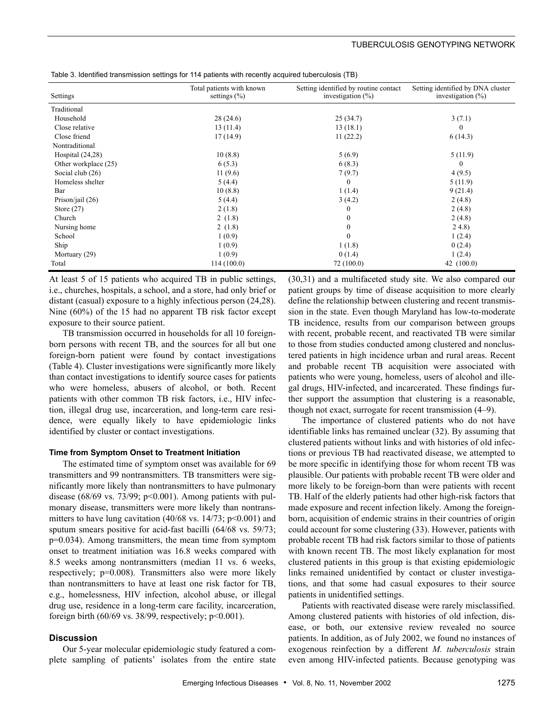| Settings             | Total patients with known<br>settings $(\% )$ | Setting identified by routine contact<br>investigation $(\% )$ | Setting identified by DNA cluster<br>investigation $(\%)$ |
|----------------------|-----------------------------------------------|----------------------------------------------------------------|-----------------------------------------------------------|
| Traditional          |                                               |                                                                |                                                           |
| Household            | 28(24.6)                                      | 25(34.7)                                                       | 3(7.1)                                                    |
| Close relative       | 13(11.4)                                      | 13(18.1)                                                       | $\mathbf{0}$                                              |
| Close friend         | 17(14.9)                                      | 11(22.2)                                                       | 6(14.3)                                                   |
| Nontraditional       |                                               |                                                                |                                                           |
| Hospital $(24,28)$   | 10(8.8)                                       | 5(6.9)                                                         | 5(11.9)                                                   |
| Other workplace (25) | 6(5.3)                                        | 6(8.3)                                                         | $\Omega$                                                  |
| Social club $(26)$   | 11(9.6)                                       | 7(9.7)                                                         | 4(9.5)                                                    |
| Homeless shelter     | 5(4.4)                                        | $\mathbf{0}$                                                   | 5(11.9)                                                   |
| Bar                  | 10(8.8)                                       | 1(1.4)                                                         | 9(21.4)                                                   |
| Prison/jail $(26)$   | 5(4.4)                                        | 3(4.2)                                                         | 2(4.8)                                                    |
| Store $(27)$         | 2(1.8)                                        | $\mathbf{0}$                                                   | 2(4.8)                                                    |
| Church               | 2(1.8)                                        | $\boldsymbol{0}$                                               | 2(4.8)                                                    |
| Nursing home         | 2(1.8)                                        | $\boldsymbol{0}$                                               | 24.8                                                      |
| School               | 1(0.9)                                        | $\mathbf{0}$                                                   | 1(2.4)                                                    |
| Ship                 | 1(0.9)                                        | 1(1.8)                                                         | 0(2.4)                                                    |
| Mortuary (29)        | 1(0.9)                                        | 0(1.4)                                                         | 1(2.4)                                                    |
| Total                | 114(100.0)                                    | 72 (100.0)                                                     | 42 $(100.0)$                                              |

Table 3. Identified transmission settings for 114 patients with recently acquired tuberculosis (TB)

At least 5 of 15 patients who acquired TB in public settings, i.e., churches, hospitals, a school, and a store, had only brief or distant (casual) exposure to a highly infectious person (24,28). Nine (60%) of the 15 had no apparent TB risk factor except exposure to their source patient.

TB transmission occurred in households for all 10 foreignborn persons with recent TB, and the sources for all but one foreign-born patient were found by contact investigations (Table 4). Cluster investigations were significantly more likely than contact investigations to identify source cases for patients who were homeless, abusers of alcohol, or both. Recent patients with other common TB risk factors, i.e., HIV infection, illegal drug use, incarceration, and long-term care residence, were equally likely to have epidemiologic links identified by cluster or contact investigations.

#### **Time from Symptom Onset to Treatment Initiation**

The estimated time of symptom onset was available for 69 transmitters and 99 nontransmitters. TB transmitters were significantly more likely than nontransmitters to have pulmonary disease (68/69 vs. 73/99;  $p<0.001$ ). Among patients with pulmonary disease, transmitters were more likely than nontransmitters to have lung cavitation  $(40/68 \text{ vs. } 14/73; \text{ p} < 0.001)$  and sputum smears positive for acid-fast bacilli (64/68 vs. 59/73; p=0.034). Among transmitters, the mean time from symptom onset to treatment initiation was 16.8 weeks compared with 8.5 weeks among nontransmitters (median 11 vs. 6 weeks, respectively; p=0.008). Transmitters also were more likely than nontransmitters to have at least one risk factor for TB, e.g., homelessness, HIV infection, alcohol abuse, or illegal drug use, residence in a long-term care facility, incarceration, foreign birth (60/69 vs. 38/99, respectively;  $p<0.001$ ).

#### **Discussion**

Our 5-year molecular epidemiologic study featured a complete sampling of patients' isolates from the entire state (30,31) and a multifaceted study site. We also compared our patient groups by time of disease acquisition to more clearly define the relationship between clustering and recent transmission in the state. Even though Maryland has low-to-moderate TB incidence, results from our comparison between groups with recent, probable recent, and reactivated TB were similar to those from studies conducted among clustered and nonclustered patients in high incidence urban and rural areas. Recent and probable recent TB acquisition were associated with patients who were young, homeless, users of alcohol and illegal drugs, HIV-infected, and incarcerated. These findings further support the assumption that clustering is a reasonable, though not exact, surrogate for recent transmission (4–9).

The importance of clustered patients who do not have identifiable links has remained unclear (32). By assuming that clustered patients without links and with histories of old infections or previous TB had reactivated disease, we attempted to be more specific in identifying those for whom recent TB was plausible. Our patients with probable recent TB were older and more likely to be foreign-born than were patients with recent TB. Half of the elderly patients had other high-risk factors that made exposure and recent infection likely. Among the foreignborn, acquisition of endemic strains in their countries of origin could account for some clustering (33). However, patients with probable recent TB had risk factors similar to those of patients with known recent TB. The most likely explanation for most clustered patients in this group is that existing epidemiologic links remained unidentified by contact or cluster investigations, and that some had casual exposures to their source patients in unidentified settings.

Patients with reactivated disease were rarely misclassified. Among clustered patients with histories of old infection, disease, or both, our extensive review revealed no source patients. In addition, as of July 2002, we found no instances of exogenous reinfection by a different *M. tuberculosis* strain even among HIV-infected patients. Because genotyping was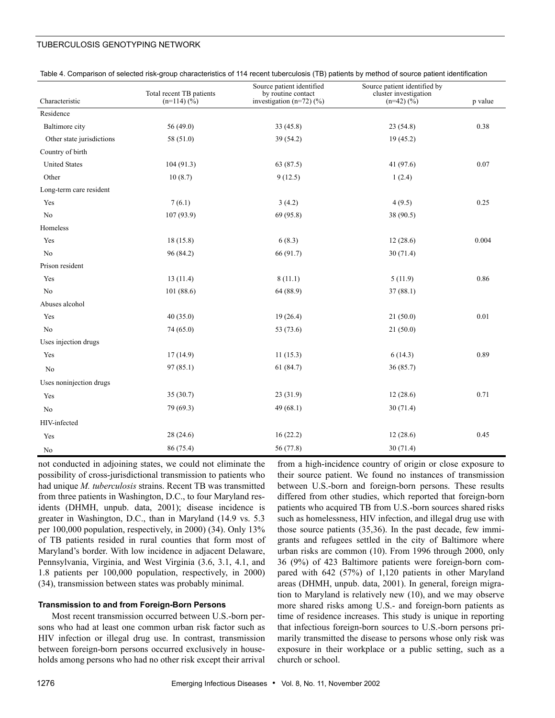| Characteristic            | Total recent TB patients<br>$(n=114)(\frac{6}{6})$ | Source patient identified<br>by routine contact<br>investigation $(n=72)$ $(\%)$ | Source patient identified by<br>cluster investigation<br>$(n=42)$ $(\sqrt{6})$ | p value |
|---------------------------|----------------------------------------------------|----------------------------------------------------------------------------------|--------------------------------------------------------------------------------|---------|
| Residence                 |                                                    |                                                                                  |                                                                                |         |
| Baltimore city            | 56 (49.0)                                          | 33(45.8)                                                                         | 23(54.8)                                                                       | 0.38    |
| Other state jurisdictions | 58 (51.0)                                          | 39 (54.2)                                                                        | 19(45.2)                                                                       |         |
| Country of birth          |                                                    |                                                                                  |                                                                                |         |
| <b>United States</b>      | 104(91.3)                                          | 63 (87.5)                                                                        | 41 $(97.6)$                                                                    | 0.07    |
| Other                     | 10(8.7)                                            | 9(12.5)                                                                          | 1(2.4)                                                                         |         |
| Long-term care resident   |                                                    |                                                                                  |                                                                                |         |
| Yes                       | 7(6.1)                                             | 3(4.2)                                                                           | 4(9.5)                                                                         | 0.25    |
| N <sub>o</sub>            | 107(93.9)                                          | 69 (95.8)                                                                        | 38 (90.5)                                                                      |         |
| Homeless                  |                                                    |                                                                                  |                                                                                |         |
| Yes                       | 18(15.8)                                           | 6(8.3)                                                                           | 12(28.6)                                                                       | 0.004   |
| N <sub>o</sub>            | 96 (84.2)                                          | 66 (91.7)                                                                        | 30(71.4)                                                                       |         |
| Prison resident           |                                                    |                                                                                  |                                                                                |         |
| Yes                       | 13(11.4)                                           | 8(11.1)                                                                          | 5(11.9)                                                                        | 0.86    |
| No                        | 101(88.6)                                          | 64 (88.9)                                                                        | 37(88.1)                                                                       |         |
| Abuses alcohol            |                                                    |                                                                                  |                                                                                |         |
| Yes                       | 40(35.0)                                           | 19(26.4)                                                                         | 21(50.0)                                                                       | 0.01    |
| N <sub>o</sub>            | 74(65.0)                                           | 53 (73.6)                                                                        | 21(50.0)                                                                       |         |
| Uses injection drugs      |                                                    |                                                                                  |                                                                                |         |
| Yes                       | 17(14.9)                                           | 11(15.3)                                                                         | 6(14.3)                                                                        | 0.89    |
| N <sub>o</sub>            | 97(85.1)                                           | 61(84.7)                                                                         | 36(85.7)                                                                       |         |
| Uses noninjection drugs   |                                                    |                                                                                  |                                                                                |         |
| Yes                       | 35(30.7)                                           | 23(31.9)                                                                         | 12(28.6)                                                                       | 0.71    |
| No                        | 79 (69.3)                                          | 49(68.1)                                                                         | 30(71.4)                                                                       |         |
| HIV-infected              |                                                    |                                                                                  |                                                                                |         |
| Yes                       | 28(24.6)                                           | 16(22.2)                                                                         | 12(28.6)                                                                       | 0.45    |
| No                        | 86 (75.4)                                          | 56 (77.8)                                                                        | 30(71.4)                                                                       |         |

Table 4. Comparison of selected risk-group characteristics of 114 recent tuberculosis (TB) patients by method of source patient identification

not conducted in adjoining states, we could not eliminate the possibility of cross-jurisdictional transmission to patients who had unique *M. tuberculosis* strains. Recent TB was transmitted from three patients in Washington, D.C., to four Maryland residents (DHMH, unpub. data, 2001); disease incidence is greater in Washington, D.C., than in Maryland (14.9 vs. 5.3 per 100,000 population, respectively, in 2000) (34). Only 13% of TB patients resided in rural counties that form most of Maryland's border. With low incidence in adjacent Delaware, Pennsylvania, Virginia, and West Virginia (3.6, 3.1, 4.1, and 1.8 patients per 100,000 population, respectively, in 2000) (34), transmission between states was probably minimal.

#### **Transmission to and from Foreign-Born Persons**

Most recent transmission occurred between U.S.-born persons who had at least one common urban risk factor such as HIV infection or illegal drug use. In contrast, transmission between foreign-born persons occurred exclusively in households among persons who had no other risk except their arrival from a high-incidence country of origin or close exposure to their source patient. We found no instances of transmission between U.S.-born and foreign-born persons. These results differed from other studies, which reported that foreign-born patients who acquired TB from U.S.-born sources shared risks such as homelessness, HIV infection, and illegal drug use with those source patients (35,36). In the past decade, few immigrants and refugees settled in the city of Baltimore where urban risks are common (10). From 1996 through 2000, only 36 (9%) of 423 Baltimore patients were foreign-born compared with 642 (57%) of 1,120 patients in other Maryland areas (DHMH, unpub. data, 2001). In general, foreign migration to Maryland is relatively new (10), and we may observe more shared risks among U.S.- and foreign-born patients as time of residence increases. This study is unique in reporting that infectious foreign-born sources to U.S.-born persons primarily transmitted the disease to persons whose only risk was exposure in their workplace or a public setting, such as a church or school.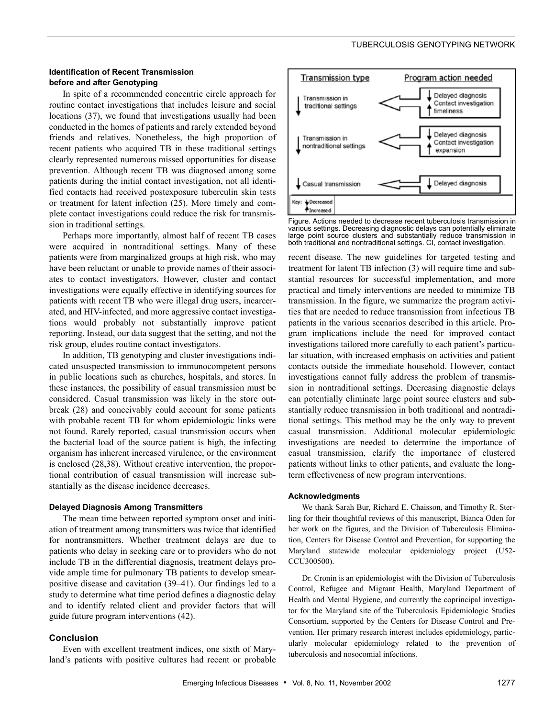# **Identification of Recent Transmission before and after Genotyping**

In spite of a recommended concentric circle approach for routine contact investigations that includes leisure and social locations (37), we found that investigations usually had been conducted in the homes of patients and rarely extended beyond friends and relatives. Nonetheless, the high proportion of recent patients who acquired TB in these traditional settings clearly represented numerous missed opportunities for disease prevention. Although recent TB was diagnosed among some patients during the initial contact investigation, not all identified contacts had received postexposure tuberculin skin tests or treatment for latent infection (25). More timely and complete contact investigations could reduce the risk for transmission in traditional settings.

Perhaps more importantly, almost half of recent TB cases were acquired in nontraditional settings. Many of these patients were from marginalized groups at high risk, who may have been reluctant or unable to provide names of their associates to contact investigators. However, cluster and contact investigations were equally effective in identifying sources for patients with recent TB who were illegal drug users, incarcerated, and HIV-infected, and more aggressive contact investigations would probably not substantially improve patient reporting. Instead, our data suggest that the setting, and not the risk group, eludes routine contact investigators.

In addition, TB genotyping and cluster investigations indicated unsuspected transmission to immunocompetent persons in public locations such as churches, hospitals, and stores. In these instances, the possibility of casual transmission must be considered. Casual transmission was likely in the store outbreak (28) and conceivably could account for some patients with probable recent TB for whom epidemiologic links were not found. Rarely reported, casual transmission occurs when the bacterial load of the source patient is high, the infecting organism has inherent increased virulence, or the environment is enclosed (28,38). Without creative intervention, the proportional contribution of casual transmission will increase substantially as the disease incidence decreases.

#### **Delayed Diagnosis Among Transmitters**

The mean time between reported symptom onset and initiation of treatment among transmitters was twice that identified for nontransmitters. Whether treatment delays are due to patients who delay in seeking care or to providers who do not include TB in the differential diagnosis, treatment delays provide ample time for pulmonary TB patients to develop smearpositive disease and cavitation (39–41). Our findings led to a study to determine what time period defines a diagnostic delay and to identify related client and provider factors that will guide future program interventions (42).

# **Conclusion**

Even with excellent treatment indices, one sixth of Maryland's patients with positive cultures had recent or probable



Figure. Actions needed to decrease recent tuberculosis transmission in various settings. Decreasing diagnostic delays can potentially eliminate large point source clusters and substantially reduce transmission in both traditional and nontraditional settings. CI, contact investigation.

recent disease. The new guidelines for targeted testing and treatment for latent TB infection (3) will require time and substantial resources for successful implementation, and more practical and timely interventions are needed to minimize TB transmission. In the figure, we summarize the program activities that are needed to reduce transmission from infectious TB patients in the various scenarios described in this article. Program implications include the need for improved contact investigations tailored more carefully to each patient's particular situation, with increased emphasis on activities and patient contacts outside the immediate household. However, contact investigations cannot fully address the problem of transmission in nontraditional settings. Decreasing diagnostic delays can potentially eliminate large point source clusters and substantially reduce transmission in both traditional and nontraditional settings. This method may be the only way to prevent casual transmission. Additional molecular epidemiologic investigations are needed to determine the importance of casual transmission, clarify the importance of clustered patients without links to other patients, and evaluate the longterm effectiveness of new program interventions.

#### **Acknowledgments**

We thank Sarah Bur, Richard E. Chaisson, and Timothy R. Sterling for their thoughtful reviews of this manuscript, Bianca Oden for her work on the figures, and the Division of Tuberculosis Elimination, Centers for Disease Control and Prevention, for supporting the Maryland statewide molecular epidemiology project (U52- CCU300500).

Dr. Cronin is an epidemiologist with the Division of Tuberculosis Control, Refugee and Migrant Health, Maryland Department of Health and Mental Hygiene, and currently the coprincipal investigator for the Maryland site of the Tuberculosis Epidemiologic Studies Consortium, supported by the Centers for Disease Control and Prevention. Her primary research interest includes epidemiology, particularly molecular epidemiology related to the prevention of tuberculosis and nosocomial infections.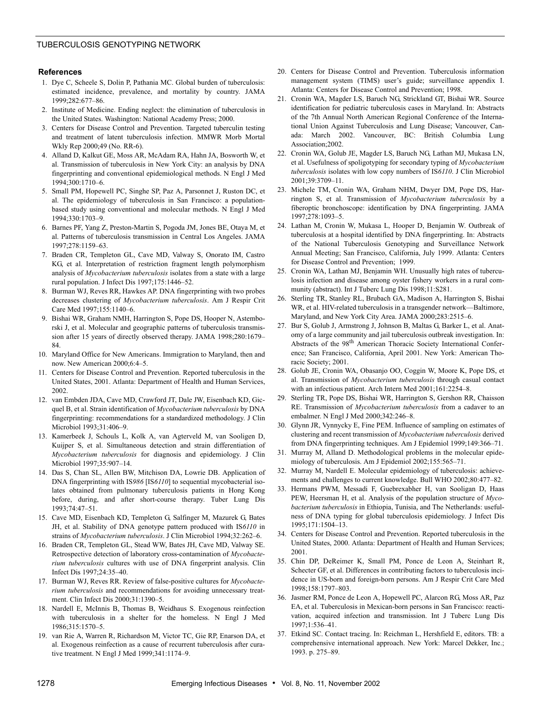#### **References**

- 1. Dye C, Scheele S, Dolin P, Pathania MC. Global burden of tuberculosis: estimated incidence, prevalence, and mortality by country. JAMA 1999;282:677–86.
- 2. Institute of Medicine. Ending neglect: the elimination of tuberculosis in the United States. Washington: National Academy Press; 2000.
- 3. Centers for Disease Control and Prevention. Targeted tuberculin testing and treatment of latent tuberculosis infection. MMWR Morb Mortal Wkly Rep 2000;49 (No. RR-6).
- 4. Alland D, Kalkut GE, Moss AR, McAdam RA, Hahn JA, Bosworth W, et al. Transmission of tuberculosis in New York City: an analysis by DNA fingerprinting and conventional epidemiological methods. N Engl J Med 1994;300:1710–6.
- 5. Small PM, Hopewell PC, Singhe SP, Paz A, Parsonnet J, Ruston DC, et al. The epidemiology of tuberculosis in San Francisco: a populationbased study using conventional and molecular methods. N Engl J Med 1994;330:1703–9.
- 6. Barnes PF, Yang Z, Preston-Martin S, Pogoda JM, Jones BE, Otaya M, et al. Patterns of tuberculosis transmission in Central Los Angeles. JAMA 1997;278:1159–63.
- 7. Braden CR, Templeton GL, Cave MD, Valway S, Onorato IM, Castro KG, et al. Interpretation of restriction fragment length polymorphism analysis of *Mycobacterium tuberculosis* isolates from a state with a large rural population. J Infect Dis 1997;175:1446–52.
- 8. Burman WJ, Reves RR, Hawkes AP. DNA fingerprinting with two probes decreases clustering of *Mycobacterium tuberculosis*. Am J Respir Crit Care Med 1997;155:1140–6.
- 9. Bishai WR, Graham NMH, Harrington S, Pope DS, Hooper N, Astemborski J, et al. Molecular and geographic patterns of tuberculosis transmission after 15 years of directly observed therapy. JAMA 1998;280:1679– 84.
- 10. Maryland Office for New Americans. Immigration to Maryland, then and now. New American 2000;6:4–5.
- 11. Centers for Disease Control and Prevention. Reported tuberculosis in the United States, 2001. Atlanta: Department of Health and Human Services, 2002.
- 12. van Embden JDA, Cave MD, Crawford JT, Dale JW, Eisenbach KD, Gicquel B, et al. Strain identification of *Mycobacterium tuberculosis* by DNA fingerprinting: recommendations for a standardized methodology. J Clin Microbiol 1993;31:406–9.
- 13. Kamerbeek J, Schouls L, Kolk A, van Agterveld M, van Sooligen D, Kuijper S, et al. Simultaneous detection and strain differentiation of *Mycobacterium tuberculosis* for diagnosis and epidemiology. J Clin Microbiol 1997;35:907–14.
- 14. Das S, Chan SL, Allen BW, Mitchison DA, Lowrie DB. Application of DNA fingerprinting with IS*986* [IS*6110*] to sequential mycobacterial isolates obtained from pulmonary tuberculosis patients in Hong Kong before, during, and after short-course therapy. Tuber Lung Dis 1993;74:47–51.
- 15. Cave MD, Eisenbach KD, Templeton G, Salfinger M, Mazurek G, Bates JH, et al. Stability of DNA genotype pattern produced with IS*6110* in strains of *Mycobacterium tuberculosis*. J Clin Microbiol 1994;32:262–6.
- 16. Braden CR, Templeton GL, Stead WW, Bates JH, Cave MD, Valway SE. Retrospective detection of laboratory cross-contamination of *Mycobacterium tuberculosis* cultures with use of DNA fingerprint analysis. Clin Infect Dis 1997;24:35–40.
- 17. Burman WJ, Reves RR. Review of false-positive cultures for *Mycobacterium tuberculosis* and recommendations for avoiding unnecessary treatment. Clin Infect Dis 2000;31:1390–5.
- 18. Nardell E, McInnis B, Thomas B, Weidhaus S. Exogenous reinfection with tuberculosis in a shelter for the homeless. N Engl J Med 1986;315:1570–5.
- 19. van Rie A, Warren R, Richardson M, Victor TC, Gie RP, Enarson DA, et al. Exogenous reinfection as a cause of recurrent tuberculosis after curative treatment. N Engl J Med 1999;341:1174–9.
- 20. Centers for Disease Control and Prevention. Tuberculosis information management system (TIMS) user's guide; surveillance appendix I. Atlanta: Centers for Disease Control and Prevention; 1998.
- 21. Cronin WA, Magder LS, Baruch NG, Strickland GT, Bishai WR. Source identification for pediatric tuberculosis cases in Maryland. In: Abstracts of the 7th Annual North American Regional Conference of the International Union Against Tuberculosis and Lung Disease; Vancouver, Canada: March 2002. Vancouver, BC: British Columbia Lung Association;2002.
- 22. Cronin WA, Golub JE, Magder LS, Baruch NG, Lathan MJ, Mukasa LN, et al. Usefulness of spoligotyping for secondary typing of *Mycobacterium tuberculosis* isolates with low copy numbers of IS*6110*. J Clin Microbiol 2001;39:3709–11.
- 23. Michele TM, Cronin WA, Graham NHM, Dwyer DM, Pope DS, Harrington S, et al. Transmission of *Mycobacterium tuberculosis* by a fiberoptic bronchoscope: identification by DNA fingerprinting. JAMA 1997;278:1093–5.
- 24. Lathan M, Cronin W, Mukasa L, Hooper D, Benjamin W. Outbreak of tuberculosis at a hospital identified by DNA fingerprinting. In: Abstracts of the National Tuberculosis Genotyping and Surveillance Network Annual Meeting; San Francisco, California, July 1999. Atlanta: Centers for Disease Control and Prevention; 1999.
- 25. Cronin WA, Lathan MJ, Benjamin WH. Unusually high rates of tuberculosis infection and disease among oyster fishery workers in a rural community (abstract). Int J Tuberc Lung Dis 1998;11:S281.
- 26. Sterling TR, Stanley RL, Brubach GA, Madison A, Harrington S, Bishai WR, et al. HIV-related tuberculosis in a transgender network—Baltimore, Maryland, and New York City Area. JAMA 2000;283:2515–6.
- 27. Bur S, Golub J, Armstrong J, Johnson B, Maltas G, Barker L, et al. Anatomy of a large community and jail tuberculosis outbreak investigation. In: Abstracts of the 98<sup>th</sup> American Thoracic Society International Conference; San Francisco, California, April 2001. New York: American Thoracic Society; 2001.
- 28. Golub JE, Cronin WA, Obasanjo OO, Coggin W, Moore K, Pope DS, et al. Transmission of *Mycobacterium tuberculosis* through casual contact with an infectious patient. Arch Intern Med 2001;161:2254–8.
- 29. Sterling TR, Pope DS, Bishai WR, Harrington S, Gershon RR, Chaisson RE. Transmission of *Mycobacterium tuberculosis* from a cadaver to an embalmer. N Engl J Med 2000;342:246–8.
- 30. Glynn JR, Vynnycky E, Fine PEM. Influence of sampling on estimates of clustering and recent transmission of *Mycobacterium tuberculosis* derived from DNA fingerprinting techniques. Am J Epidemiol 1999;149:366–71.
- 31. Murray M, Alland D. Methodological problems in the molecular epidemiology of tuberculosis. Am J Epidemiol 2002;155:565–71.
- 32. Murray M, Nardell E. Molecular epidemiology of tuberculosis: achievements and challenges to current knowledge. Bull WHO 2002;80:477–82.
- 33. Hermans PWM, Messadi F, Guebrexabher H, van Sooligan D, Haas PEW, Heersman H, et al. Analysis of the population structure of *Mycobacterium tuberculosis* in Ethiopia, Tunisia, and The Netherlands: usefulness of DNA typing for global tuberculosis epidemiology. J Infect Dis 1995;171:1504–13.
- 34. Centers for Disease Control and Prevention. Reported tuberculosis in the United States, 2000. Atlanta: Department of Health and Human Services; 2001.
- 35. Chin DP, DeReimer K, Small PM, Ponce de Leon A, Steinhart R, Schecter GF, et al. Differences in contributing factors to tuberculosis incidence in US-born and foreign-born persons. Am J Respir Crit Care Med 1998;158:1797–803.
- 36. Jasmer RM, Ponce de Leon A, Hopewell PC, Alarcon RG, Moss AR, Paz EA, et al. Tuberculosis in Mexican-born persons in San Francisco: reactivation, acquired infection and transmission. Int J Tuberc Lung Dis 1997;1:536–41.
- 37. Etkind SC. Contact tracing. In: Reichman L, Hershfield E, editors. TB: a comprehensive international approach. New York: Marcel Dekker, Inc.; 1993. p. 275–89.